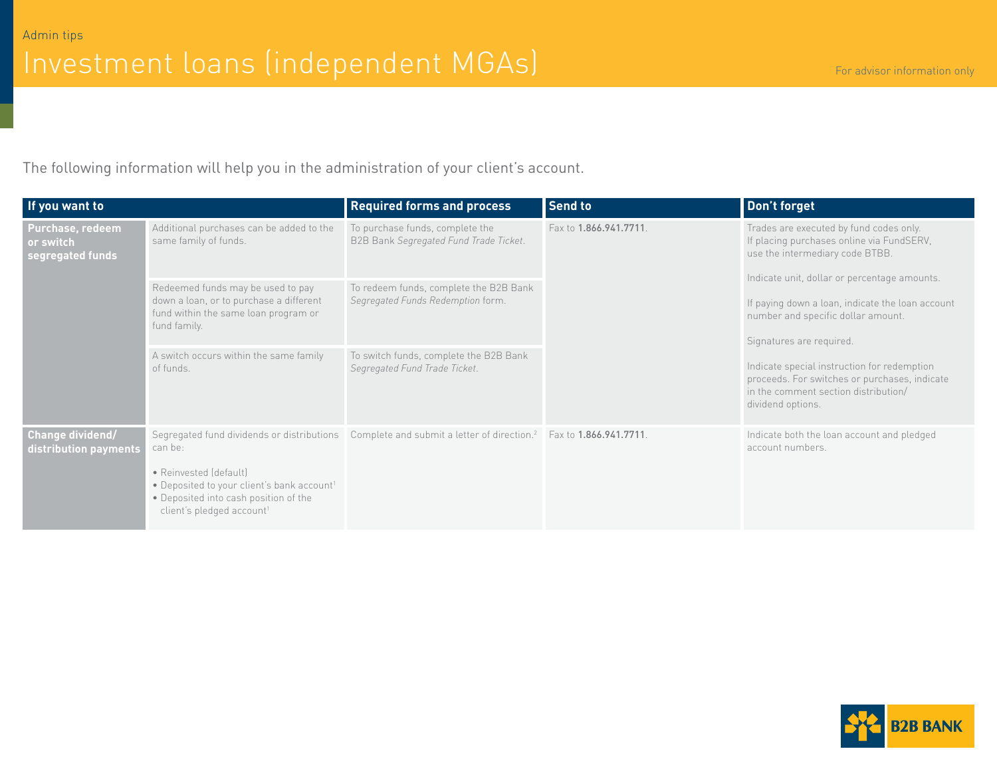The following information will help you in the administration of your client's account.

| If you want to                                    |                                                                                                                                                                                                                             | <b>Required forms and process</b>                                                      | <b>Send to</b>         | Don't forget                                                                                                                                                            |
|---------------------------------------------------|-----------------------------------------------------------------------------------------------------------------------------------------------------------------------------------------------------------------------------|----------------------------------------------------------------------------------------|------------------------|-------------------------------------------------------------------------------------------------------------------------------------------------------------------------|
| Purchase, redeem<br>or switch<br>segregated funds | Additional purchases can be added to the<br>same family of funds.                                                                                                                                                           | To purchase funds, complete the<br>B2B Bank Segregated Fund Trade Ticket.              | Fax to 1.866.941.7711. | Trades are executed by fund codes only.<br>If placing purchases online via FundSERV,<br>use the intermediary code BTBB.<br>Indicate unit, dollar or percentage amounts. |
|                                                   | Redeemed funds may be used to pay<br>down a loan, or to purchase a different<br>fund within the same loan program or<br>fund family.                                                                                        | To redeem funds, complete the B2B Bank<br>Segregated Funds Redemption form.            |                        | If paying down a loan, indicate the loan account<br>number and specific dollar amount.<br>Signatures are required.                                                      |
|                                                   | A switch occurs within the same family<br>of funds.                                                                                                                                                                         | To switch funds, complete the B2B Bank<br>Segregated Fund Trade Ticket.                |                        | Indicate special instruction for redemption<br>proceeds. For switches or purchases, indicate<br>in the comment section distribution/<br>dividend options.               |
| Change dividend/<br>distribution payments         | Segregated fund dividends or distributions<br>can be:<br>• Reinvested (default)<br>• Deposited to your client's bank account <sup>1</sup><br>• Deposited into cash position of the<br>client's pledged account <sup>1</sup> | Complete and submit a letter of direction. <sup>2</sup> Fax to <b>1.866.941.7711</b> . |                        | Indicate both the loan account and pledged<br>account numbers.                                                                                                          |

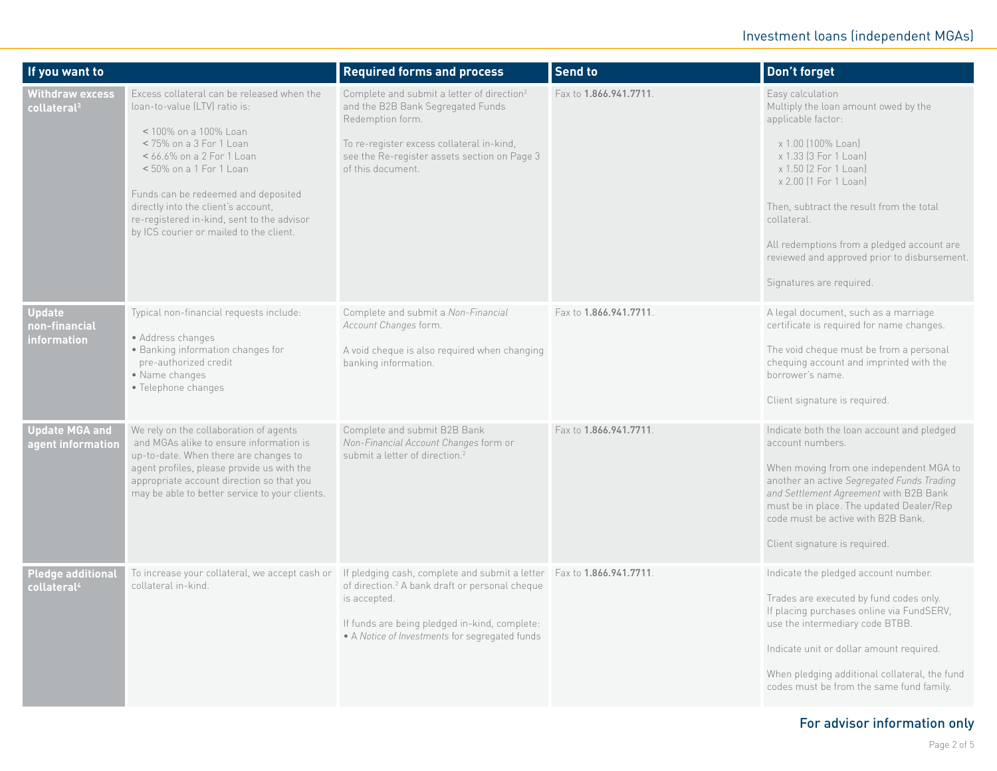| If you want to                                      |                                                                                                                                                                                                                                                                                                                                                                    | <b>Required forms and process</b>                                                                                                                                                                                                                      | <b>Send to</b>         | Don't forget                                                                                                                                                                                                                                                                                                                                                         |
|-----------------------------------------------------|--------------------------------------------------------------------------------------------------------------------------------------------------------------------------------------------------------------------------------------------------------------------------------------------------------------------------------------------------------------------|--------------------------------------------------------------------------------------------------------------------------------------------------------------------------------------------------------------------------------------------------------|------------------------|----------------------------------------------------------------------------------------------------------------------------------------------------------------------------------------------------------------------------------------------------------------------------------------------------------------------------------------------------------------------|
| <b>Withdraw excess</b><br>collateral <sup>3</sup>   | Excess collateral can be released when the<br>loan-to-value (LTV) ratio is:<br>< 100% on a 100% Loan<br>$<$ 75% on a 3 For 1 Loan<br>< 66.6% on a 2 For 1 Loan<br>$<$ 50% on a 1 For 1 Loan<br>Funds can be redeemed and deposited<br>directly into the client's account,<br>re-registered in-kind, sent to the advisor<br>by ICS courier or mailed to the client. | Complete and submit a letter of direction <sup>2</sup><br>and the B2B Bank Segregated Funds<br>Redemption form.<br>To re-register excess collateral in-kind,<br>see the Re-register assets section on Page 3<br>of this document.                      | Fax to 1.866.941.7711. | Easy calculation<br>Multiply the loan amount owed by the<br>applicable factor:<br>x 1.00 (100% Loan)<br>x 1.33 (3 For 1 Loan)<br>x 1.50 (2 For 1 Loan)<br>x 2.00 (1 For 1 Loan)<br>Then, subtract the result from the total<br>collateral.<br>All redemptions from a pledged account are<br>reviewed and approved prior to disbursement.<br>Signatures are required. |
| <b>Update</b><br>non-financial<br>information       | Typical non-financial requests include:<br>• Address changes<br>• Banking information changes for<br>pre-authorized credit<br>• Name changes<br>• Telephone changes                                                                                                                                                                                                | Complete and submit a Non-Financial<br>Account Changes form.<br>A void cheque is also required when changing<br>banking information.                                                                                                                   | Fax to 1.866.941.7711. | A legal document, such as a marriage<br>certificate is required for name changes.<br>The void cheque must be from a personal<br>chequing account and imprinted with the<br>borrower's name.<br>Client signature is required.                                                                                                                                         |
| <b>Update MGA and</b><br>agent information          | We rely on the collaboration of agents<br>and MGAs alike to ensure information is<br>up-to-date. When there are changes to<br>agent profiles, please provide us with the<br>appropriate account direction so that you<br>may be able to better service to your clients.                                                                                            | Complete and submit B2B Bank<br>Non-Financial Account Changes form or<br>submit a letter of direction. <sup>2</sup>                                                                                                                                    | Fax to 1.866.941.7711. | Indicate both the loan account and pledged<br>account numbers.<br>When moving from one independent MGA to<br>another an active Segregated Funds Trading<br>and Settlement Agreement with B2B Bank<br>must be in place. The updated Dealer/Rep<br>code must be active with B2B Bank.<br>Client signature is required.                                                 |
| <b>Pledge additional</b><br>collateral <sup>4</sup> | To increase your collateral, we accept cash or<br>collateral in-kind.                                                                                                                                                                                                                                                                                              | If pledging cash, complete and submit a letter Fax to 1.866.941.7711.<br>of direction. <sup>2</sup> A bank draft or personal cheque<br>is accepted.<br>If funds are being pledged in-kind, complete:<br>• A Notice of Investments for segregated funds |                        | Indicate the pledged account number.<br>Trades are executed by fund codes only.<br>If placing purchases online via FundSERV,<br>use the intermediary code BTBB.<br>Indicate unit or dollar amount required.<br>When pledging additional collateral, the fund<br>codes must be from the same fund family.                                                             |

## For advisor information only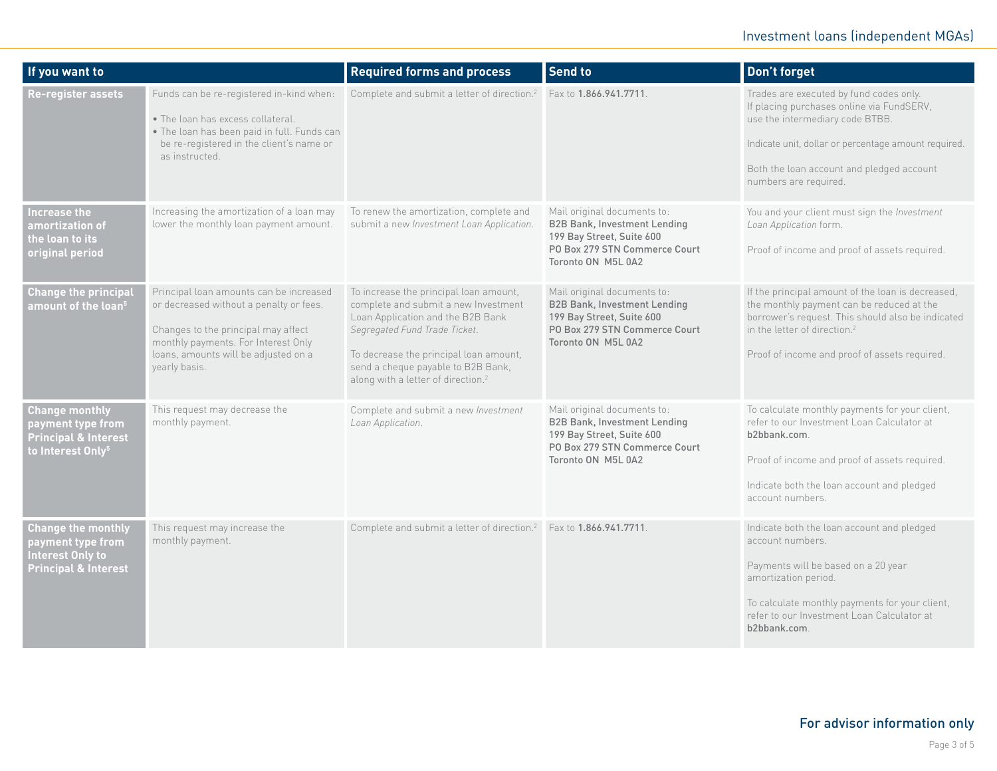## Investment loans (independent MGAs)

| If you want to                                                                                                 |                                                                                                                                                                                                                           | <b>Required forms and process</b>                                                                                                                                                                                                                                                      | Send to                                                                                                                                                | <b>Don't forget</b>                                                                                                                                                                                                                                   |
|----------------------------------------------------------------------------------------------------------------|---------------------------------------------------------------------------------------------------------------------------------------------------------------------------------------------------------------------------|----------------------------------------------------------------------------------------------------------------------------------------------------------------------------------------------------------------------------------------------------------------------------------------|--------------------------------------------------------------------------------------------------------------------------------------------------------|-------------------------------------------------------------------------------------------------------------------------------------------------------------------------------------------------------------------------------------------------------|
| Re-register assets                                                                                             | Funds can be re-registered in-kind when:<br>• The loan has excess collateral.<br>• The loan has been paid in full. Funds can<br>be re-registered in the client's name or<br>as instructed.                                | Complete and submit a letter of direction. <sup>2</sup>                                                                                                                                                                                                                                | Fax to 1.866.941.7711                                                                                                                                  | Trades are executed by fund codes only.<br>If placing purchases online via FundSERV,<br>use the intermediary code BTBB.<br>Indicate unit, dollar or percentage amount required.<br>Both the loan account and pledged account<br>numbers are required. |
| Increase the<br>amortizatio <u>n of</u><br>the loan to its<br>original period                                  | Increasing the amortization of a loan may<br>lower the monthly loan payment amount.                                                                                                                                       | To renew the amortization, complete and<br>submit a new Investment Loan Application.                                                                                                                                                                                                   | Mail original documents to:<br><b>B2B Bank, Investment Lending</b><br>199 Bay Street, Suite 600<br>PO Box 279 STN Commerce Court<br>Toronto ON M5L 0A2 | You and your client must sign the Investment<br>Loan Application form.<br>Proof of income and proof of assets required.                                                                                                                               |
| <b>Change the principal</b><br>amount of the loan <sup>5</sup>                                                 | Principal loan amounts can be increased<br>or decreased without a penalty or fees.<br>Changes to the principal may affect<br>monthly payments. For Interest Only<br>loans, amounts will be adjusted on a<br>yearly basis. | To increase the principal loan amount,<br>complete and submit a new Investment<br>Loan Application and the B2B Bank<br>Segregated Fund Trade Ticket.<br>To decrease the principal loan amount,<br>send a cheque payable to B2B Bank,<br>along with a letter of direction. <sup>2</sup> | Mail original documents to:<br><b>B2B Bank, Investment Lending</b><br>199 Bay Street, Suite 600<br>PO Box 279 STN Commerce Court<br>Toronto ON M5L 0A2 | If the principal amount of the loan is decreased,<br>the monthly payment can be reduced at the<br>borrower's request. This should also be indicated<br>in the letter of direction. <sup>2</sup><br>Proof of income and proof of assets required.      |
| <b>Change monthly</b><br>payment type from<br><b>Principal &amp; Interest</b><br>to Interest Only <sup>5</sup> | This request may decrease the<br>monthly payment.                                                                                                                                                                         | Complete and submit a new Investment<br>Loan Application.                                                                                                                                                                                                                              | Mail original documents to:<br><b>B2B Bank, Investment Lending</b><br>199 Bay Street, Suite 600<br>PO Box 279 STN Commerce Court<br>Toronto ON M5L 0A2 | To calculate monthly payments for your client,<br>refer to our Investment Loan Calculator at<br>b2bbank.com.<br>Proof of income and proof of assets required.<br>Indicate both the loan account and pledged<br>account numbers.                       |
| <b>Change the monthly</b><br>payment type from<br>Interest Only to<br><b>Principal &amp; Interest</b>          | This request may increase the<br>monthly payment.                                                                                                                                                                         | Complete and submit a letter of direction. <sup>2</sup> Fax to 1.866.941.7711                                                                                                                                                                                                          |                                                                                                                                                        | Indicate both the loan account and pledged<br>account numbers.<br>Payments will be based on a 20 year<br>amortization period.<br>To calculate monthly payments for your client,<br>refer to our Investment Loan Calculator at<br>b2bbank.com          |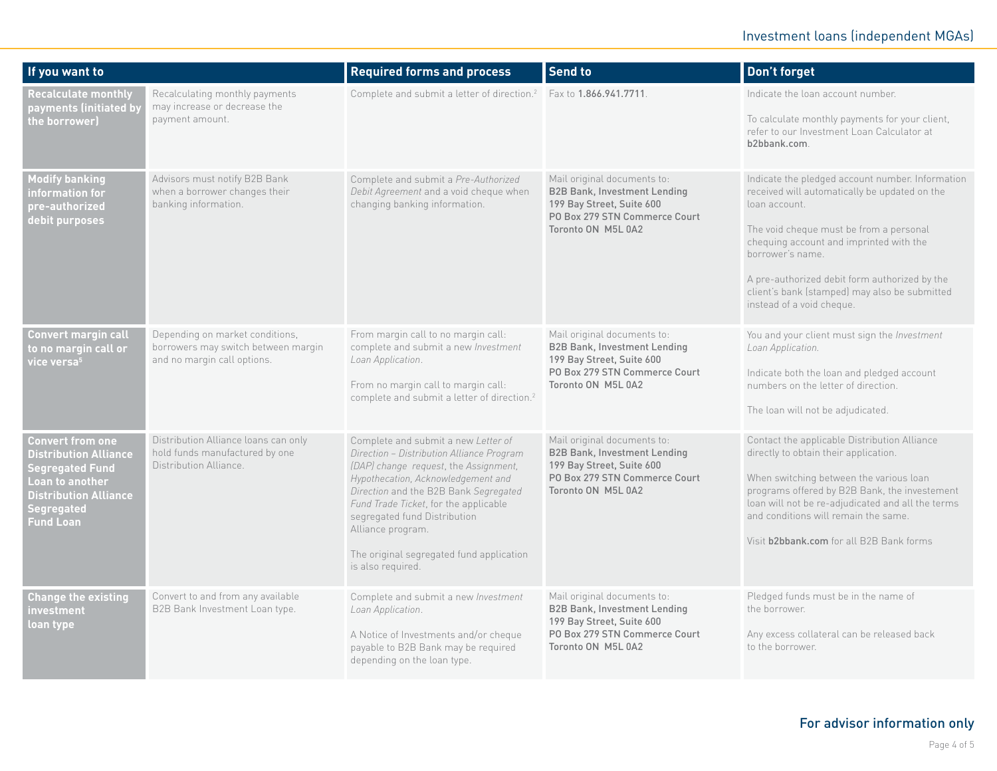| If you want to                                                                                                                                                  |                                                                                                       | <b>Required forms and process</b>                                                                                                                                                                                                                                                                                                                                       | Send to                                                                                                                                                | Don't forget                                                                                                                                                                                                                                                                                                                                                |
|-----------------------------------------------------------------------------------------------------------------------------------------------------------------|-------------------------------------------------------------------------------------------------------|-------------------------------------------------------------------------------------------------------------------------------------------------------------------------------------------------------------------------------------------------------------------------------------------------------------------------------------------------------------------------|--------------------------------------------------------------------------------------------------------------------------------------------------------|-------------------------------------------------------------------------------------------------------------------------------------------------------------------------------------------------------------------------------------------------------------------------------------------------------------------------------------------------------------|
| <b>Recalculate monthly</b><br>payments (initiated by<br>the borrower)                                                                                           | Recalculating monthly payments<br>may increase or decrease the<br>payment amount.                     | Complete and submit a letter of direction. <sup>2</sup> Fax to <b>1.866.941.7711</b>                                                                                                                                                                                                                                                                                    |                                                                                                                                                        | Indicate the loan account number.<br>To calculate monthly payments for your client,<br>refer to our Investment Loan Calculator at<br>b2bbank.com.                                                                                                                                                                                                           |
| <b>Modify banking</b><br>information for<br>pre-authorized<br>debit purposes                                                                                    | Advisors must notify B2B Bank<br>when a borrower changes their<br>banking information.                | Complete and submit a Pre-Authorized<br>Debit Agreement and a void cheque when<br>changing banking information.                                                                                                                                                                                                                                                         | Mail original documents to:<br><b>B2B Bank, Investment Lending</b><br>199 Bay Street, Suite 600<br>PO Box 279 STN Commerce Court<br>Toronto ON M5L 0A2 | Indicate the pledged account number. Information<br>received will automatically be updated on the<br>loan account.<br>The void cheque must be from a personal<br>chequing account and imprinted with the<br>borrower's name.<br>A pre-authorized debit form authorized by the<br>client's bank (stamped) may also be submitted<br>instead of a void cheque. |
| <b>Convert margin call</b><br>to no margin call or<br>vice versa $^{\rm 5}$                                                                                     | Depending on market conditions,<br>borrowers may switch between margin<br>and no margin call options. | From margin call to no margin call:<br>complete and submit a new Investment<br>Loan Application.<br>From no margin call to margin call:<br>complete and submit a letter of direction. <sup>2</sup>                                                                                                                                                                      | Mail original documents to:<br><b>B2B Bank, Investment Lending</b><br>199 Bay Street, Suite 600<br>PO Box 279 STN Commerce Court<br>Toronto ON M5L 0A2 | You and your client must sign the Investment<br>Loan Application.<br>Indicate both the loan and pledged account<br>numbers on the letter of direction.<br>The loan will not be adjudicated.                                                                                                                                                                 |
| Convert from one<br><b>Distribution Alliance</b><br>Segregated Fund<br>Loan to another<br><b>Distribution Alliance</b><br><b>Segregated</b><br><b>Fund Loan</b> | Distribution Alliance loans can only<br>hold funds manufactured by one<br>Distribution Alliance.      | Complete and submit a new Letter of<br>Direction - Distribution Alliance Program<br>(DAP) change request, the Assignment,<br>Hypothecation, Acknowledgement and<br>Direction and the B2B Bank Segregated<br>Fund Trade Ticket, for the applicable<br>segregated fund Distribution<br>Alliance program.<br>The original segregated fund application<br>is also required. | Mail original documents to:<br><b>B2B Bank, Investment Lending</b><br>199 Bay Street, Suite 600<br>PO Box 279 STN Commerce Court<br>Toronto ON M5L 0A2 | Contact the applicable Distribution Alliance<br>directly to obtain their application.<br>When switching between the various loan<br>programs offered by B2B Bank, the investement<br>loan will not be re-adjudicated and all the terms<br>and conditions will remain the same.<br>Visit <b>b2bbank.com</b> for all B2B Bank forms                           |
| <b>Change the existing</b><br>investment<br>loan type                                                                                                           | Convert to and from any available<br>B2B Bank Investment Loan type.                                   | Complete and submit a new Investment<br>Loan Application.<br>A Notice of Investments and/or cheque<br>payable to B2B Bank may be required<br>depending on the loan type.                                                                                                                                                                                                | Mail original documents to:<br><b>B2B Bank, Investment Lending</b><br>199 Bay Street, Suite 600<br>PO Box 279 STN Commerce Court<br>Toronto ON M5L 0A2 | Pledged funds must be in the name of<br>the borrower.<br>Any excess collateral can be released back<br>to the borrower.                                                                                                                                                                                                                                     |